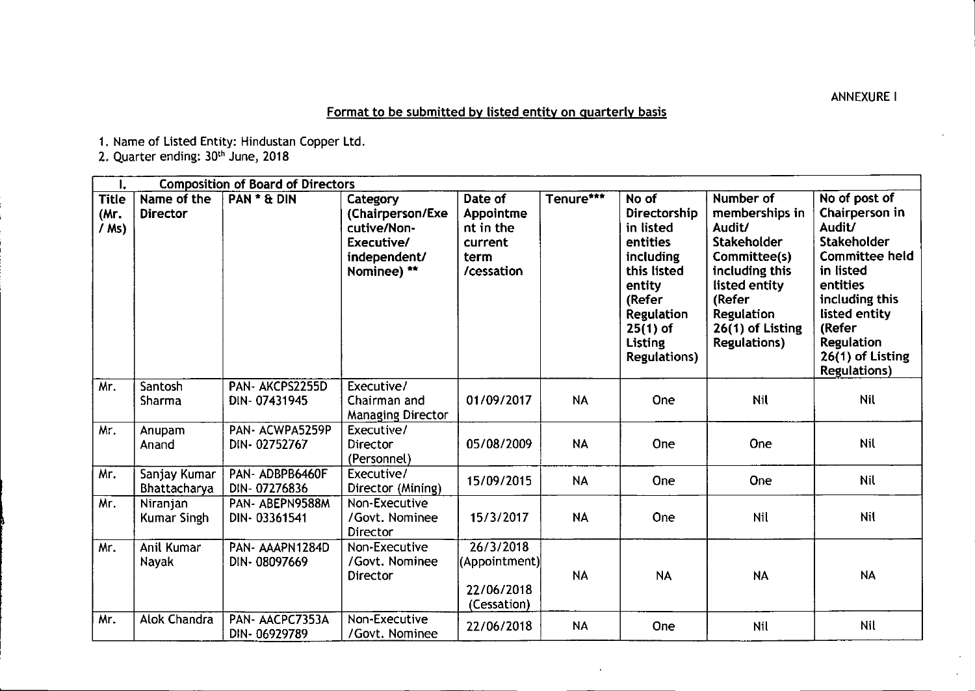Format to be submitted by listed entity on quarterly basis

1. Name of Listed Entity: Hindustan Copper Ltd.

2. Quarter ending: 30<sup>th</sup> June, 2018

| I.                              | <b>Composition of Board of Directors</b> |                                |                                                                                          |                                                                    |           |                                                                                                                                                                            |                                                                                                                                                                                          |                                                                                                                                                                                                                         |
|---------------------------------|------------------------------------------|--------------------------------|------------------------------------------------------------------------------------------|--------------------------------------------------------------------|-----------|----------------------------------------------------------------------------------------------------------------------------------------------------------------------------|------------------------------------------------------------------------------------------------------------------------------------------------------------------------------------------|-------------------------------------------------------------------------------------------------------------------------------------------------------------------------------------------------------------------------|
| <b>Title</b><br>(Mr.<br>$/$ Ms) | Name of the<br><b>Director</b>           | PAN * & DIN                    | Category<br>(Chairperson/Exe<br>cutive/Non-<br>Executive/<br>independent/<br>Nominee) ** | Date of<br>Appointme<br>nt in the<br>current<br>term<br>/cessation | Tenure*** | No of<br>Directorship<br>in listed<br>entities<br>including<br>this listed<br>entity<br>(Refer<br><b>Regulation</b><br>$25(1)$ of<br><b>Listing</b><br><b>Regulations)</b> | Number of<br>memberships in<br>Audit/<br><b>Stakeholder</b><br>Committee(s)<br>including this<br>listed entity<br>(Refer<br><b>Regulation</b><br>26(1) of Listing<br><b>Regulations)</b> | No of post of<br>Chairperson in<br>Audit/<br><b>Stakeholder</b><br><b>Committee held</b><br>in listed<br>entities<br>including this<br>listed entity<br>(Refer<br>Regulation<br>26(1) of Listing<br><b>Regulations)</b> |
| Mr.                             | Santosh<br>Sharma                        | PAN-AKCPS2255D<br>DIN-07431945 | Executive/<br>Chairman and<br><b>Managing Director</b>                                   | 01/09/2017                                                         | <b>NA</b> | One                                                                                                                                                                        | Nil                                                                                                                                                                                      | <b>Nil</b>                                                                                                                                                                                                              |
| Mr.                             | Anupam<br>Anand                          | PAN-ACWPA5259P<br>DIN-02752767 | Executive/<br>Director<br>(Personnel)                                                    | 05/08/2009                                                         | <b>NA</b> | One                                                                                                                                                                        | One                                                                                                                                                                                      | Nil                                                                                                                                                                                                                     |
| Mr.                             | Sanjay Kumar<br>Bhattacharya             | PAN-ADBPB6460F<br>DIN-07276836 | Executive/<br>Director (Mining)                                                          | 15/09/2015                                                         | <b>NA</b> | One                                                                                                                                                                        | One                                                                                                                                                                                      | Nil                                                                                                                                                                                                                     |
| Mr.                             | Niranjan<br>Kumar Singh                  | PAN-ABEPN9588M<br>DIN-03361541 | Non-Executive<br>/Govt. Nominee<br>Director                                              | 15/3/2017                                                          | <b>NA</b> | One                                                                                                                                                                        | Nil                                                                                                                                                                                      | Nil                                                                                                                                                                                                                     |
| Mr.                             | Anil Kumar<br>Navak                      | PAN-AAAPN1284D<br>DIN-08097669 | Non-Executive<br>/Govt. Nominee<br>Director                                              | 26/3/2018<br>(Appointment)<br>22/06/2018<br>(Cessation)            | <b>NA</b> | <b>NA</b>                                                                                                                                                                  | <b>NA</b>                                                                                                                                                                                | <b>NA</b>                                                                                                                                                                                                               |
| Mr.                             | <b>Alok Chandra</b>                      | PAN-AACPC7353A<br>DIN-06929789 | Non-Executive<br>/Govt. Nominee                                                          | 22/06/2018                                                         | <b>NA</b> | One                                                                                                                                                                        | Nil                                                                                                                                                                                      | Nil                                                                                                                                                                                                                     |

ANNEXUREI

I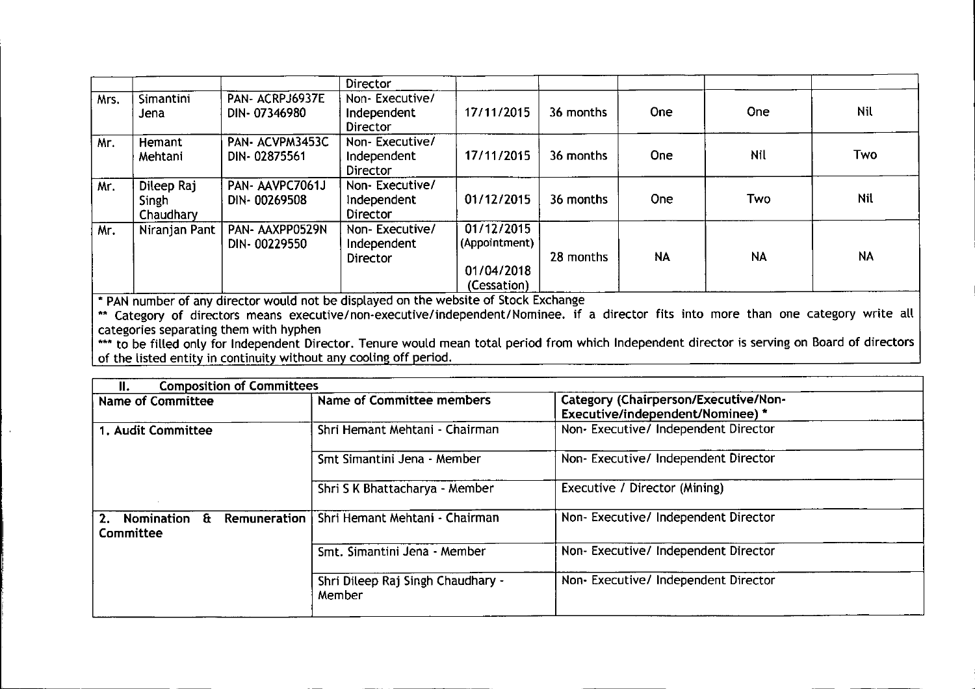|      |                                  |                                 | Director                                  |                                                          |           |            |            |            |
|------|----------------------------------|---------------------------------|-------------------------------------------|----------------------------------------------------------|-----------|------------|------------|------------|
| Mrs. | Simantini<br>Jena                | PAN- ACRPJ6937E<br>DIN-07346980 | Non-Executive/<br>Independent<br>Director | 17/11/2015                                               | 36 months | One.       | <b>One</b> | <b>Nil</b> |
| Mr.  | Hemant<br>Mehtani                | PAN- ACVPM3453C<br>DIN-02875561 | Non-Executive/<br>Independent<br>Director | 17/11/2015                                               | 36 months | <b>One</b> | Nil        | Two        |
| Mr.  | Dileep Raj<br>Singh<br>Chaudhary | PAN-AAVPC7061J<br>DIN-00269508  | Non-Executive/<br>Independent<br>Director | 01/12/2015                                               | 36 months | <b>One</b> | Two        | Nil        |
| Mr.  | Niranjan Pant                    | PAN- AAXPP0529N<br>DIN-00229550 | Non-Executive/<br>Independent<br>Director | 01/12/2015<br>(Appointment)<br>01/04/2018<br>(Cessation) | 28 months | <b>NA</b>  | <b>NA</b>  | <b>NA</b>  |

• PAN number of any director would not be displayed on the website of Stock Exchange

\*\* Category of directors means executive/non-executive/independent/Nominee. if a director fits into more than one category write all categories separating them with hyphen

••• to be filled only for Independent Director. Tenure would mean total period from which Independent director is serving on Board of directors of the listed entity in continuity without any cooling off period

| <b>Composition of Committees</b><br>Ш.               |                                               |                                                                                 |  |
|------------------------------------------------------|-----------------------------------------------|---------------------------------------------------------------------------------|--|
| <b>Name of Committee</b>                             | <b>Name of Committee members</b>              | <b>Category (Chairperson/Executive/Non-</b><br>Executive/independent/Nominee) * |  |
| 1. Audit Committee                                   | Shri Hemant Mehtani - Chairman                | Non-Executive/Independent Director                                              |  |
|                                                      | Smt Simantini Jena - Member                   | Non-Executive/Independent Director                                              |  |
|                                                      | Shri S K Bhattacharya - Member                | Executive / Director (Mining)                                                   |  |
| $\mathbf{F}$<br>Nomination<br>2.<br><b>Committee</b> | Remuneration   Shri Hemant Mehtani - Chairman | Non-Executive/ Independent Director                                             |  |
|                                                      | Smt. Simantini Jena - Member                  | Non-Executive/Independent Director                                              |  |
|                                                      | Shri Dileep Raj Singh Chaudhary -<br>Member   | Non-Executive/Independent Director                                              |  |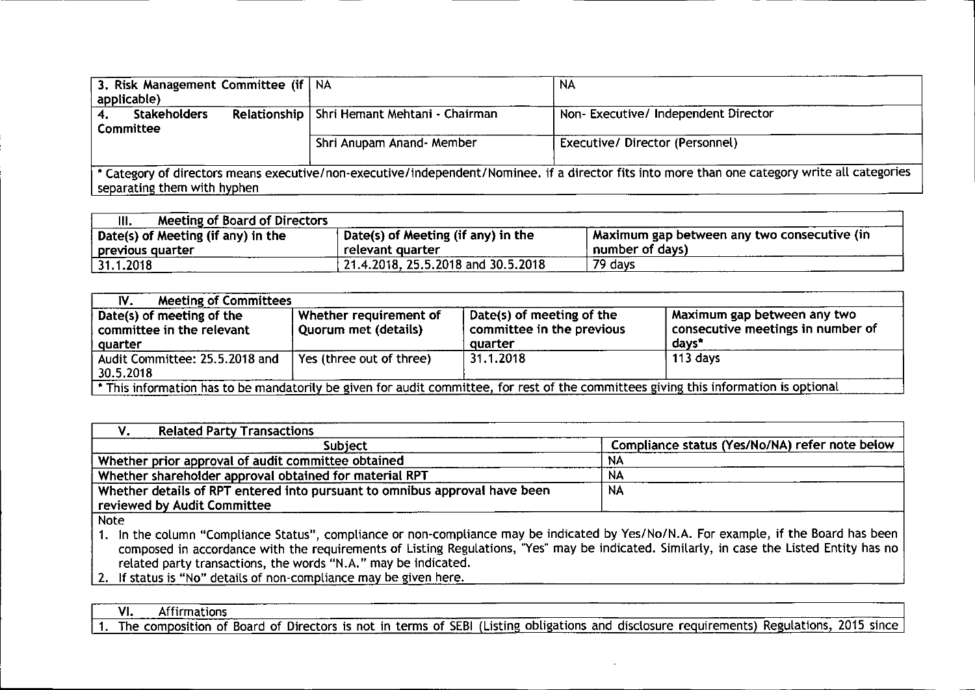| 3. Risk Management Committee (if   NA<br>applicable) |                                               | <b>NA</b>                                                                                                                                      |
|------------------------------------------------------|-----------------------------------------------|------------------------------------------------------------------------------------------------------------------------------------------------|
| <b>Stakeholders</b><br><b>Committee</b>              | Relationship   Shri Hemant Mehtani - Chairman | Non-Executive/Independent Director                                                                                                             |
|                                                      | Shri Anupam Anand- Member                     | Executive/Director (Personnel)                                                                                                                 |
| separating them with hyphen                          |                                               | * Category of directors means executive/non-executive/independent/Nominee. if a director fits into more than one category write all categories |

| Meeting of Board of Directors<br>III. |                                    |                                               |
|---------------------------------------|------------------------------------|-----------------------------------------------|
| Date(s) of Meeting (if any) in the    | Date(s) of Meeting (if any) in the | I Maximum gap between any two consecutive (in |
| previous quarter                      | relevant quarter                   | number of days)                               |
| 31.1.2018                             | 21.4.2018, 25.5.2018 and 30.5.2018 | 79 days                                       |

| <b>Meeting of Committees</b><br>IV.                                                                                                   |                                                |                                                                   |                                                                                |  |  |
|---------------------------------------------------------------------------------------------------------------------------------------|------------------------------------------------|-------------------------------------------------------------------|--------------------------------------------------------------------------------|--|--|
| Date(s) of meeting of the<br>committee in the relevant<br>quarter                                                                     | Whether requirement of<br>Quorum met (details) | Date(s) of meeting of the<br>committee in the previous<br>quarter | Maximum gap between any two<br>$^1$ consecutive meetings in number of<br>days* |  |  |
| Audit Committee: 25.5.2018 and<br>30.5.2018                                                                                           | Yes (three out of three)                       | 31.1.2018                                                         | 113 days                                                                       |  |  |
| * This information has to be mandatorily be given for audit committee, for rest of the committees giving this information is optional |                                                |                                                                   |                                                                                |  |  |

| <b>Related Party Transactions</b>                                          |                                                |  |  |
|----------------------------------------------------------------------------|------------------------------------------------|--|--|
| <b>Subject</b>                                                             | Compliance status (Yes/No/NA) refer note below |  |  |
| Whether prior approval of audit committee obtained                         | <b>NA</b>                                      |  |  |
| Whether shareholder approval obtained for material RPT                     | NA                                             |  |  |
| Whether details of RPT entered into pursuant to omnibus approval have been | <b>NA</b>                                      |  |  |
| reviewed by Audit Committee                                                |                                                |  |  |
| <b>NAto</b>                                                                |                                                |  |  |

Note

1. In the column "Compliance Status", compliance or non-compliance may be indicated by Yes/No/N.A. For example, if the Board has been composed in accordance with the requirements of Listing Regulations, "Yes" may be indicated. Similarly, in case the Listed Entity has no related party transactions, the words "N.A." may be indicated.

 $\overline{2}$ . If status is "No" details of non-compliance may be given here.

VI. Affirmations

1. The composition of Board of Directors is not in terms of SEBI (Listing obligations and disclosure requirements) Regulations, 2015 since